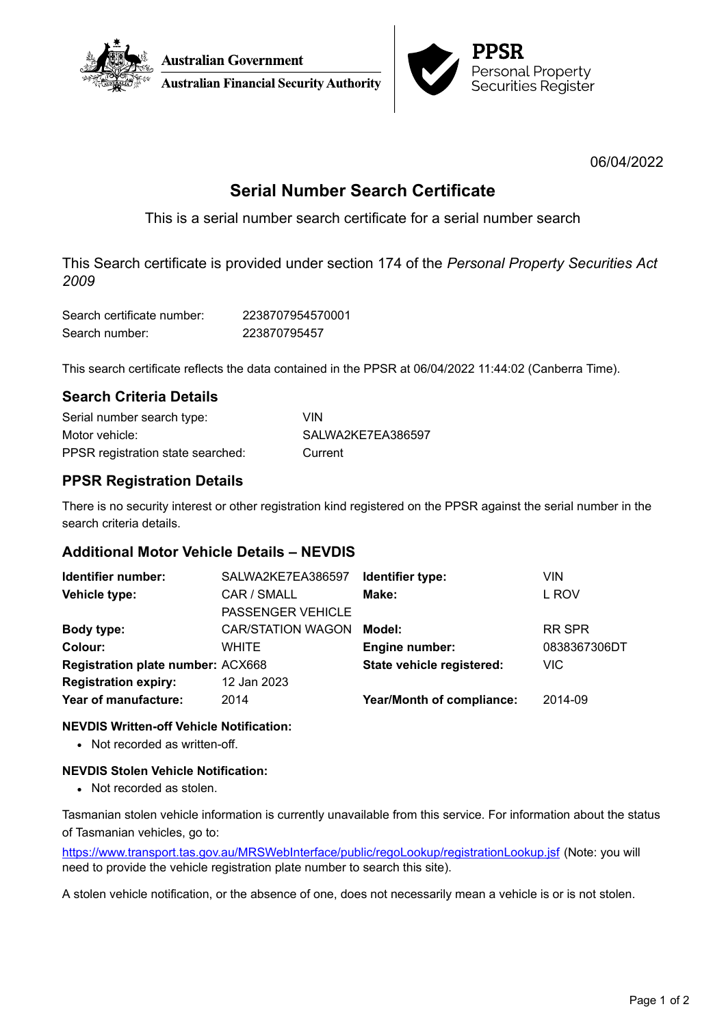



06/04/2022

# **Serial Number Search Certificate**

This is a serial number search certificate for a serial number search

This Search certificate is provided under section 174 of the *Personal Property Securities Act 2009*

| Search certificate number: | 2238707954570001 |
|----------------------------|------------------|
| Search number:             | 223870795457     |

This search certificate reflects the data contained in the PPSR at 06/04/2022 11:44:02 (Canberra Time).

## **Search Criteria Details**

| Serial number search type:        | VIN               |
|-----------------------------------|-------------------|
| Motor vehicle:                    | SALWA2KE7EA386597 |
| PPSR registration state searched: | Current           |

# **PPSR Registration Details**

There is no security interest or other registration kind registered on the PPSR against the serial number in the search criteria details.

### **Additional Motor Vehicle Details – NEVDIS**

| Identifier number:                       | SALWA2KE7EA386597        | Identifier type:                 | <b>VIN</b>    |
|------------------------------------------|--------------------------|----------------------------------|---------------|
| Vehicle type:                            | CAR / SMALL              | Make:                            | L ROV         |
|                                          | <b>PASSENGER VEHICLE</b> |                                  |               |
| Body type:                               | <b>CAR/STATION WAGON</b> | Model:                           | <b>RR SPR</b> |
| Colour:                                  | WHITE                    | <b>Engine number:</b>            | 0838367306DT  |
| <b>Registration plate number: ACX668</b> |                          | State vehicle registered:        | VIC.          |
| <b>Registration expiry:</b>              | 12 Jan 2023              |                                  |               |
| Year of manufacture:                     | 2014                     | <b>Year/Month of compliance:</b> | 2014-09       |
|                                          |                          |                                  |               |

### **NEVDIS Written-off Vehicle Notification:**

• Not recorded as written-off.

### **NEVDIS Stolen Vehicle Notification:**

• Not recorded as stolen.

Tasmanian stolen vehicle information is currently unavailable from this service. For information about the status of Tasmanian vehicles, go to:

<https://www.transport.tas.gov.au/MRSWebInterface/public/regoLookup/registrationLookup.jsf> (Note: you will need to provide the vehicle registration plate number to search this site).

A stolen vehicle notification, or the absence of one, does not necessarily mean a vehicle is or is not stolen.